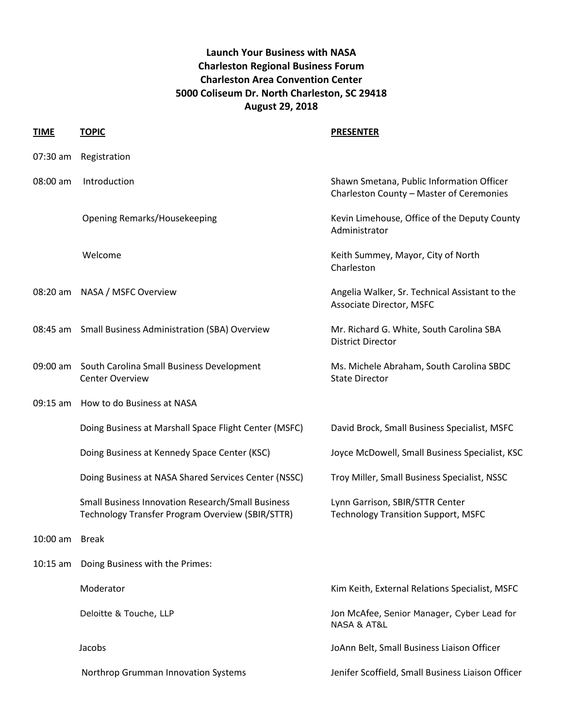## **Launch Your Business with NASA Charleston Regional Business Forum Charleston Area Convention Center 5000 Coliseum Dr. North Charleston, SC 29418 August 29, 2018**

| <b>TIME</b>    | <b>TOPIC</b>                                                                                                 | <b>PRESENTER</b>                                                                      |
|----------------|--------------------------------------------------------------------------------------------------------------|---------------------------------------------------------------------------------------|
| 07:30 am       | Registration                                                                                                 |                                                                                       |
| 08:00 am       | Introduction                                                                                                 | Shawn Smetana, Public Information Officer<br>Charleston County - Master of Ceremonies |
|                | <b>Opening Remarks/Housekeeping</b>                                                                          | Kevin Limehouse, Office of the Deputy County<br>Administrator                         |
|                | Welcome                                                                                                      | Keith Summey, Mayor, City of North<br>Charleston                                      |
| 08:20 am       | NASA / MSFC Overview                                                                                         | Angelia Walker, Sr. Technical Assistant to the<br>Associate Director, MSFC            |
|                | 08:45 am Small Business Administration (SBA) Overview                                                        | Mr. Richard G. White, South Carolina SBA<br><b>District Director</b>                  |
|                | 09:00 am South Carolina Small Business Development<br><b>Center Overview</b>                                 | Ms. Michele Abraham, South Carolina SBDC<br><b>State Director</b>                     |
| $09:15$ am     | How to do Business at NASA                                                                                   |                                                                                       |
|                | Doing Business at Marshall Space Flight Center (MSFC)                                                        | David Brock, Small Business Specialist, MSFC                                          |
|                | Doing Business at Kennedy Space Center (KSC)                                                                 | Joyce McDowell, Small Business Specialist, KSC                                        |
|                | Doing Business at NASA Shared Services Center (NSSC)                                                         | Troy Miller, Small Business Specialist, NSSC                                          |
|                | <b>Small Business Innovation Research/Small Business</b><br>Technology Transfer Program Overview (SBIR/STTR) | Lynn Garrison, SBIR/STTR Center<br><b>Technology Transition Support, MSFC</b>         |
| 10:00 am Break |                                                                                                              |                                                                                       |
| $10:15$ am     | Doing Business with the Primes:                                                                              |                                                                                       |
|                | Moderator                                                                                                    | Kim Keith, External Relations Specialist, MSFC                                        |
|                | Deloitte & Touche, LLP                                                                                       | Jon McAfee, Senior Manager, Cyber Lead for<br><b>NASA &amp; AT&amp;L</b>              |
|                | Jacobs                                                                                                       | JoAnn Belt, Small Business Liaison Officer                                            |
|                | Northrop Grumman Innovation Systems                                                                          | Jenifer Scoffield, Small Business Liaison Officer                                     |